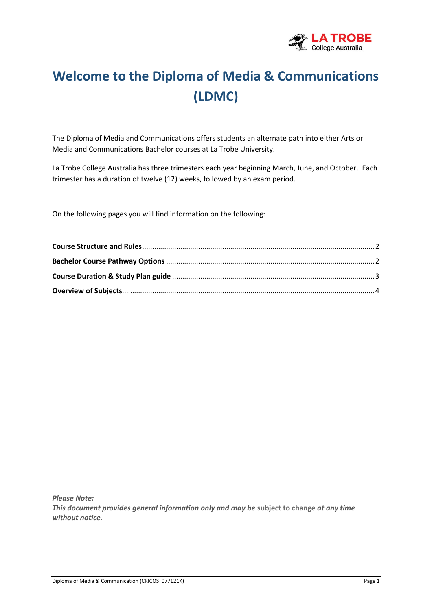

# **Welcome to the Diploma of Media & Communications (LDMC)**

The Diploma of Media and Communications offers students an alternate path into either Arts or Media and Communications Bachelor courses at La Trobe University.

La Trobe College Australia has three trimesters each year beginning March, June, and October. Each trimester has a duration of twelve (12) weeks, followed by an exam period.

On the following pages you will find information on the following:

*Please Note: This document provides general information only and may be* **subject to change** *at any time without notice.*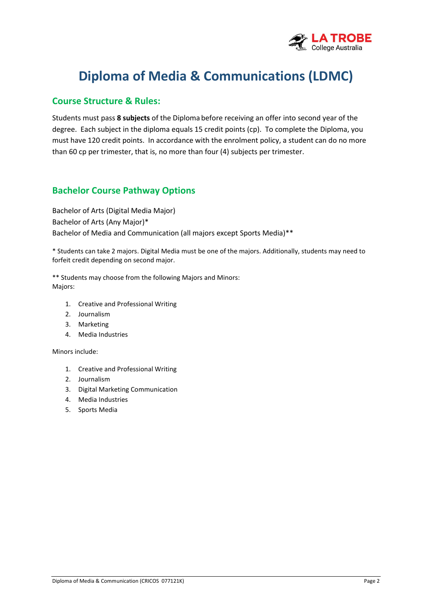

## **Diploma of Media & Communications (LDMC)**

#### **Course Structure & Rules:**

Students must pass **8 subjects** of the Diploma before receiving an offer into second year of the degree. Each subject in the diploma equals 15 credit points (cp). To complete the Diploma, you must have 120 credit points. In accordance with the enrolment policy, a student can do no more than 60 cp per trimester, that is, no more than four (4) subjects per trimester.

#### **Bachelor Course Pathway Options**

Bachelor of Arts (Digital Media Major) Bachelor of Arts (Any Major)\* Bachelor of Media and Communication (all majors except Sports Media)\*\*

\* Students can take 2 majors. Digital Media must be one of the majors. Additionally, students may need to forfeit credit depending on second major.

\*\* Students may choose from the following Majors and Minors: Majors:

- 1. Creative and Professional Writing
- 2. Journalism
- 3. Marketing
- 4. Media Industries

Minors include:

- 1. Creative and Professional Writing
- 2. Journalism
- 3. Digital Marketing Communication
- 4. Media Industries
- 5. Sports Media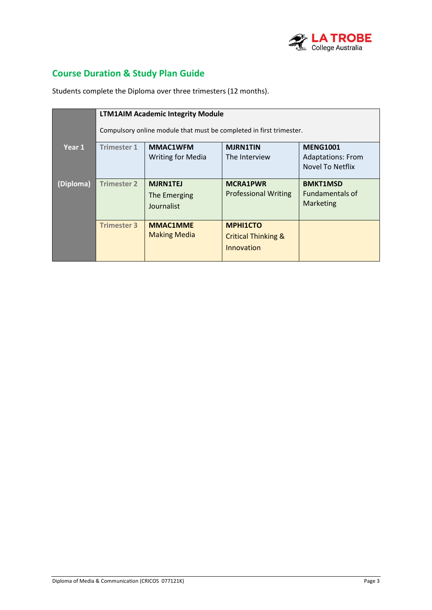

## **Course Duration & Study Plan Guide**

Students complete the Diploma over three trimesters (12 months).

|           | <b>LTM1AIM Academic Integrity Module</b>                            |                          |                                |                          |
|-----------|---------------------------------------------------------------------|--------------------------|--------------------------------|--------------------------|
|           | Compulsory online module that must be completed in first trimester. |                          |                                |                          |
| Year 1    | <b>Trimester 1</b>                                                  | <b>MMAC1WFM</b>          | <b>MJRN1TIN</b>                | <b>MENG1001</b>          |
|           |                                                                     | <b>Writing for Media</b> | The Interview                  | <b>Adaptations: From</b> |
|           |                                                                     |                          |                                | Novel To Netflix         |
| (Diploma) | <b>Trimester 2</b>                                                  | <b>MJRN1TEJ</b>          | <b>MCRA1PWR</b>                | <b>BMKT1MSD</b>          |
|           |                                                                     | The Emerging             | <b>Professional Writing</b>    | <b>Fundamentals of</b>   |
|           |                                                                     | Journalist               |                                | Marketing                |
|           |                                                                     |                          |                                |                          |
|           | <b>Trimester 3</b>                                                  | <b>MMAC1MME</b>          | <b>MPHI1CTO</b>                |                          |
|           |                                                                     | <b>Making Media</b>      | <b>Critical Thinking &amp;</b> |                          |
|           |                                                                     |                          | Innovation                     |                          |
|           |                                                                     |                          |                                |                          |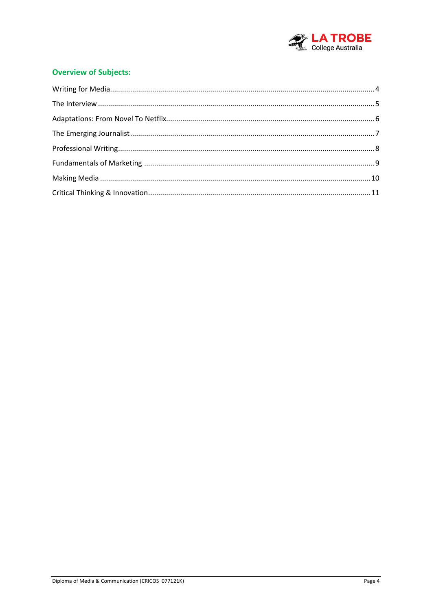

#### **Overview of Subjects:**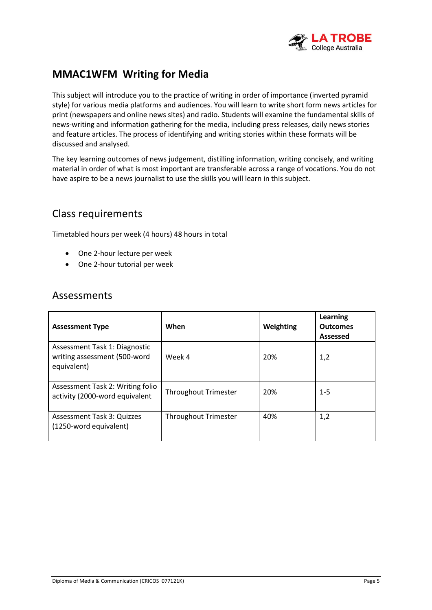

## **MMAC1WFM Writing for Media**

This subject will introduce you to the practice of writing in order of importance (inverted pyramid style) for various media platforms and audiences. You will learn to write short form news articles for print (newspapers and online news sites) and radio. Students will examine the fundamental skills of news-writing and information gathering for the media, including press releases, daily news stories and feature articles. The process of identifying and writing stories within these formats will be discussed and analysed.

The key learning outcomes of news judgement, distilling information, writing concisely, and writing material in order of what is most important are transferable across a range of vocations. You do not have aspire to be a news journalist to use the skills you will learn in this subject.

#### Class requirements

Timetabled hours per week (4 hours) 48 hours in total

- One 2-hour lecture per week
- One 2-hour tutorial per week

| <b>Assessment Type</b>                                                       | When                        | Weighting | Learning<br><b>Outcomes</b><br>Assessed |
|------------------------------------------------------------------------------|-----------------------------|-----------|-----------------------------------------|
| Assessment Task 1: Diagnostic<br>writing assessment (500-word<br>equivalent) | Week 4                      | 20%       | 1,2                                     |
| Assessment Task 2: Writing folio<br>activity (2000-word equivalent           | <b>Throughout Trimester</b> | 20%       | $1 - 5$                                 |
| Assessment Task 3: Quizzes<br>(1250-word equivalent)                         | <b>Throughout Trimester</b> | 40%       | 1,2                                     |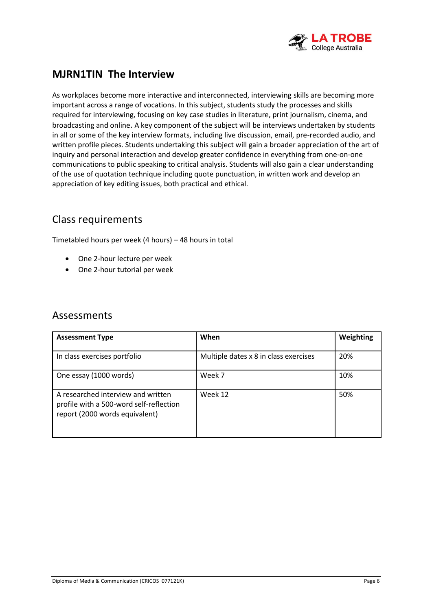

## **MJRN1TIN The Interview**

As workplaces become more interactive and interconnected, interviewing skills are becoming more important across a range of vocations. In this subject, students study the processes and skills required for interviewing, focusing on key case studies in literature, print journalism, cinema, and broadcasting and online. A key component of the subject will be interviews undertaken by students in all or some of the key interview formats, including live discussion, email, pre-recorded audio, and written profile pieces. Students undertaking this subject will gain a broader appreciation of the art of inquiry and personal interaction and develop greater confidence in everything from one-on-one communications to public speaking to critical analysis. Students will also gain a clear understanding of the use of quotation technique including quote punctuation, in written work and develop an appreciation of key editing issues, both practical and ethical.

#### Class requirements

Timetabled hours per week (4 hours) – 48 hours in total

- One 2-hour lecture per week
- One 2-hour tutorial per week

| <b>Assessment Type</b>                                                                                          | When                                  | Weighting |
|-----------------------------------------------------------------------------------------------------------------|---------------------------------------|-----------|
| In class exercises portfolio                                                                                    | Multiple dates x 8 in class exercises | 20%       |
| One essay (1000 words)                                                                                          | Week 7                                | 10%       |
| A researched interview and written<br>profile with a 500-word self-reflection<br>report (2000 words equivalent) | Week 12                               | 50%       |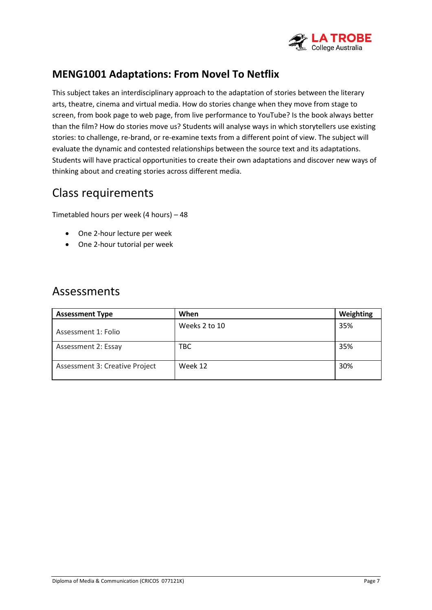

## **MENG1001 Adaptations: From Novel To Netflix**

This subject takes an interdisciplinary approach to the adaptation of stories between the literary arts, theatre, cinema and virtual media. How do stories change when they move from stage to screen, from book page to web page, from live performance to YouTube? Is the book always better than the film? How do stories move us? Students will analyse ways in which storytellers use existing stories: to challenge, re-brand, or re-examine texts from a different point of view. The subject will evaluate the dynamic and contested relationships between the source text and its adaptations. Students will have practical opportunities to create their own adaptations and discover new ways of thinking about and creating stories across different media.

## Class requirements

Timetabled hours per week (4 hours) – 48

- One 2-hour lecture per week
- One 2-hour tutorial per week

| <b>Assessment Type</b>         | When          | Weighting |
|--------------------------------|---------------|-----------|
| Assessment 1: Folio            | Weeks 2 to 10 | 35%       |
| Assessment 2: Essay            | TBC           | 35%       |
| Assessment 3: Creative Project | Week 12       | 30%       |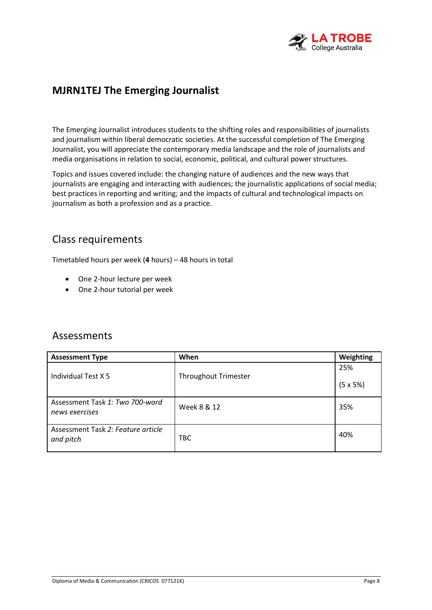

## **MJRN1TEJ The Emerging Journalist**

The Emerging Journalist introduces students to the shifting roles and responsibilities of journalists and journalism within liberal democratic societies. At the successful completion of The Emerging Journalist, you will appreciate the contemporary media landscape and the role of journalists and media organisations in relation to social, economic, political, and cultural power structures.

Topics and issues covered include: the changing nature of audiences and the new ways that journalists are engaging and interacting with audiences; the journalistic applications of social media; best practices in reporting and writing; and the impacts of cultural and technological impacts on journalism as both a profession and as a practice.

#### Class requirements

Timetabled hours per week (**4** hours) – 48 hours in total

- One 2-hour lecture per week
- One 2-hour tutorial per week

| <b>Assessment Type</b>                            | When                        | Weighting        |
|---------------------------------------------------|-----------------------------|------------------|
|                                                   |                             | 25%              |
| Individual Test X 5                               | <b>Throughout Trimester</b> | $(5 \times 5\%)$ |
| Assessment Task 1: Two 700-word<br>news exercises | Week 8 & 12                 | 35%              |
| Assessment Task 2: Feature article<br>and pitch   | TBC                         | 40%              |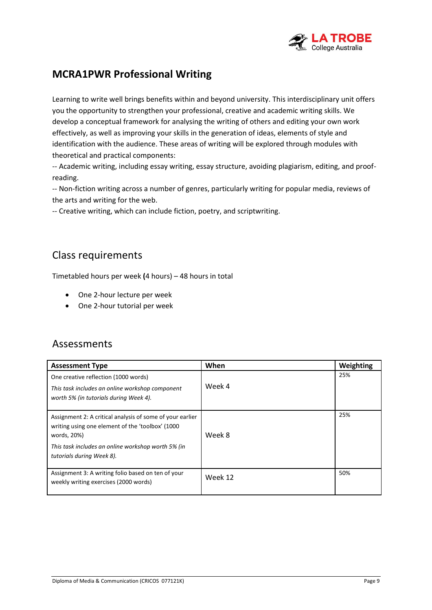

## **MCRA1PWR Professional Writing**

Learning to write well brings benefits within and beyond university. This interdisciplinary unit offers you the opportunity to strengthen your professional, creative and academic writing skills. We develop a conceptual framework for analysing the writing of others and editing your own work effectively, as well as improving your skills in the generation of ideas, elements of style and identification with the audience. These areas of writing will be explored through modules with theoretical and practical components:

-- Academic writing, including essay writing, essay structure, avoiding plagiarism, editing, and proofreading.

-- Non-fiction writing across a number of genres, particularly writing for popular media, reviews of the arts and writing for the web.

-- Creative writing, which can include fiction, poetry, and scriptwriting.

#### Class requirements

Timetabled hours per week **(**4 hours) – 48 hours in total

- One 2-hour lecture per week
- One 2-hour tutorial per week

| <b>Assessment Type</b>                                                                                                                                                                                           | When    | Weighting |
|------------------------------------------------------------------------------------------------------------------------------------------------------------------------------------------------------------------|---------|-----------|
| One creative reflection (1000 words)<br>This task includes an online workshop component<br>worth 5% (in tutorials during Week 4).                                                                                | Week 4  | 25%       |
| Assignment 2: A critical analysis of some of your earlier<br>writing using one element of the 'toolbox' (1000)<br>words, 20%)<br>This task includes an online workshop worth 5% (in<br>tutorials during Week 8). | Week 8  | 25%       |
| Assignment 3: A writing folio based on ten of your<br>weekly writing exercises (2000 words)                                                                                                                      | Week 12 | 50%       |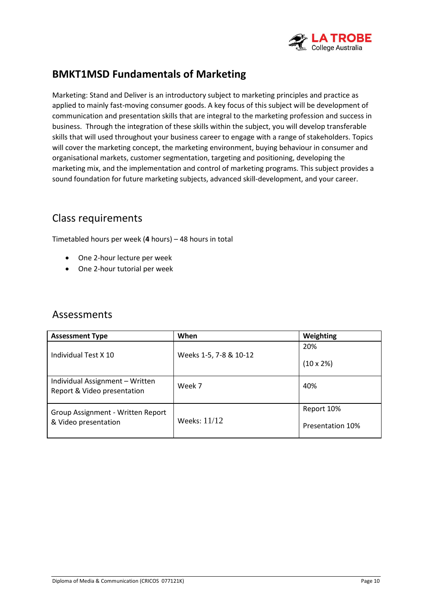

## **BMKT1MSD Fundamentals of Marketing**

Marketing: Stand and Deliver is an introductory subject to marketing principles and practice as applied to mainly fast-moving consumer goods. A key focus of this subject will be development of communication and presentation skills that are integral to the marketing profession and success in business. Through the integration of these skills within the subject, you will develop transferable skills that will used throughout your business career to engage with a range of stakeholders. Topics will cover the marketing concept, the marketing environment, buying behaviour in consumer and organisational markets, customer segmentation, targeting and positioning, developing the marketing mix, and the implementation and control of marketing programs. This subject provides a sound foundation for future marketing subjects, advanced skill-development, and your career.

#### Class requirements

Timetabled hours per week (**4** hours) – 48 hours in total

- One 2-hour lecture per week
- One 2-hour tutorial per week

<span id="page-9-0"></span>

| <b>Assessment Type</b>                                         | When                   | Weighting               |
|----------------------------------------------------------------|------------------------|-------------------------|
|                                                                |                        | 20%                     |
| Individual Test X 10                                           | Weeks 1-5, 7-8 & 10-12 | $(10 \times 2\%)$       |
| Individual Assignment - Written<br>Report & Video presentation | Week 7                 | 40%                     |
| Group Assignment - Written Report                              |                        | Report 10%              |
| & Video presentation                                           | Weeks: 11/12           | <b>Presentation 10%</b> |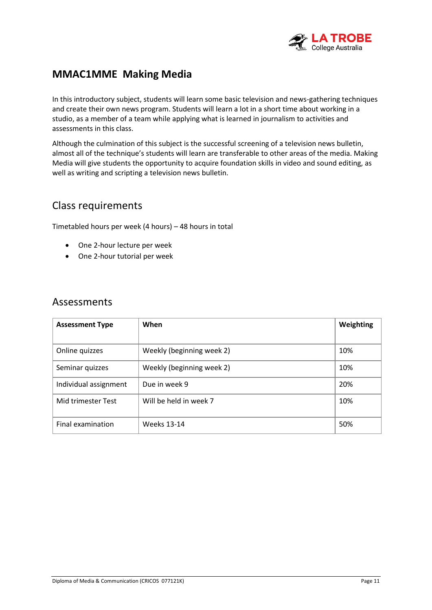

## **MMAC1MME Making Media**

In this introductory subject, students will learn some basic television and news-gathering techniques and create their own news program. Students will learn a lot in a short time about working in a studio, as a member of a team while applying what is learned in journalism to activities and assessments in this class.

Although the culmination of this subject is the successful screening of a television news bulletin, almost all of the technique's students will learn are transferable to other areas of the media. Making Media will give students the opportunity to acquire foundation skills in video and sound editing, as well as writing and scripting a television news bulletin.

#### Class requirements

Timetabled hours per week (4 hours) – 48 hours in total

- One 2-hour lecture per week
- One 2-hour tutorial per week

| <b>Assessment Type</b> | When                      | Weighting |
|------------------------|---------------------------|-----------|
|                        |                           |           |
| Online quizzes         | Weekly (beginning week 2) | 10%       |
| Seminar quizzes        | Weekly (beginning week 2) | 10%       |
| Individual assignment  | Due in week 9             | 20%       |
| Mid trimester Test     | Will be held in week 7    | 10%       |
| Final examination      | Weeks 13-14               | 50%       |